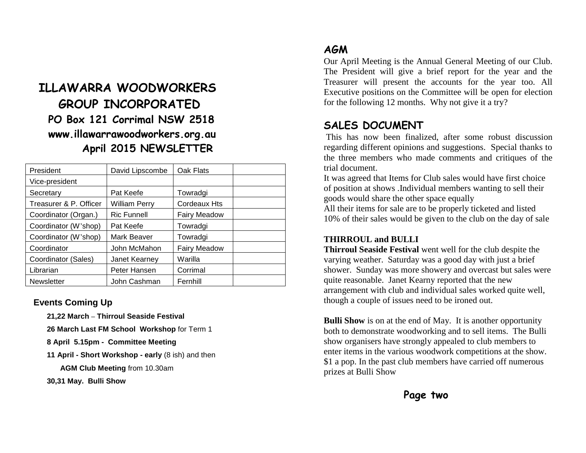# **ILLAWARRA WOODWORKERS GROUP INCORPORATED PO Box 121 Corrimal NSW 2518 www.illawarrawoodworkers.org.au April 2015 NEWSLETTER**

| President              | David Lipscombe      | Oak Flats           |  |
|------------------------|----------------------|---------------------|--|
| Vice-president         |                      |                     |  |
| Secretary              | Pat Keefe            | Towradgi            |  |
| Treasurer & P. Officer | <b>William Perry</b> | <b>Cordeaux Hts</b> |  |
| Coordinator (Organ.)   | <b>Ric Funnell</b>   | <b>Fairy Meadow</b> |  |
| Coordinator (W'shop)   | Pat Keefe            | Towradgi            |  |
| Coordinator (W'shop)   | Mark Beaver          | Towradgi            |  |
| Coordinator            | John McMahon         | <b>Fairy Meadow</b> |  |
| Coordinator (Sales)    | Janet Kearney        | Warilla             |  |
| Librarian              | Peter Hansen         | Corrimal            |  |
| <b>Newsletter</b>      | John Cashman         | Fernhill            |  |

### **Events Coming Up**

**21,22 March – Thirroul Seaside Festival**

**26 March Last FM School Workshop** for Term 1

- **8 April 5.15pm Committee Meeting**
- **11 April - Short Workshop - early** (8 ish) and then

**AGM Club Meeting** from 10.30am

**30,31 May. Bulli Show**

### **AGM**

Our April Meeting is the Annual General Meeting of our Club. The President will give a brief report for the year and the Treasurer will present the accounts for the year too. All Executive positions on the Committee will be open for election for the following 12 months. Why not give it a try?

## **SALES DOCUMENT**

This has now been finalized, after some robust discussion regarding different opinions and suggestions. Special thanks to the three members who made comments and critiques of the trial document.

It was agreed that Items for Club sales would have first choice of position at shows .Individual members wanting to sell their goods would share the other space equally

All their items for sale are to be properly ticketed and listed 10% of their sales would be given to the club on the day of sale

### **THIRROUL and BULLI**

**Thirroul Seaside Festival** went well for the club despite the varying weather. Saturday was a good day with just a brief shower. Sunday was more showery and overcast but sales were quite reasonable. Janet Kearny reported that the new arrangement with club and individual sales worked quite well, though a couple of issues need to be ironed out.

**Bulli Show** is on at the end of May. It is another opportunity both to demonstrate woodworking and to sell items. The Bulli show organisers have strongly appealed to club members to enter items in the various woodwork competitions at the show. \$1 a pop. In the past club members have carried off numerous prizes at Bulli Show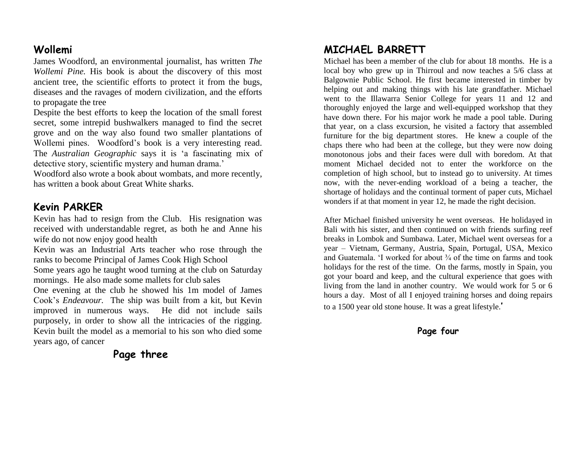### **Wollemi**

James Woodford, an environmental journalist, has written *The Wollemi Pine.* His book is about the discovery of this most ancient tree, the scientific efforts to protect it from the bugs, diseases and the ravages of modern civilization, and the efforts to propagate the tree

Despite the best efforts to keep the location of the small forest secret, some intrepid bushwalkers managed to find the secret grove and on the way also found two smaller plantations of Wollemi pines. Woodford's book is a very interesting read. The *Australian Geographic* says it is 'a fascinating mix of detective story, scientific mystery and human drama.'

Woodford also wrote a book about wombats, and more recently, has written a book about Great White sharks.

## **Kevin PARKER**

Kevin has had to resign from the Club. His resignation was received with understandable regret, as both he and Anne his wife do not now enjoy good health

Kevin was an Industrial Arts teacher who rose through the ranks to become Principal of James Cook High School

Some years ago he taught wood turning at the club on Saturday mornings. He also made some mallets for club sales

One evening at the club he showed his 1m model of James Cook's *Endeavour.* The ship was built from a kit, but Kevin improved in numerous ways. He did not include sails purposely, in order to show all the intricacies of the rigging. Kevin built the model as a memorial to his son who died some years ago, of cancer

### **Page three**

## **MICHAEL BARRETT**

Michael has been a member of the club for about 18 months. He is a local boy who grew up in Thirroul and now teaches a 5/6 class at Balgownie Public School. He first became interested in timber by helping out and making things with his late grandfather. Michael went to the Illawarra Senior College for years 11 and 12 and thoroughly enjoyed the large and well-equipped workshop that they have down there. For his major work he made a pool table. During that year, on a class excursion, he visited a factory that assembled furniture for the big department stores. He knew a couple of the chaps there who had been at the college, but they were now doing monotonous jobs and their faces were dull with boredom. At that moment Michael decided not to enter the workforce on the completion of high school, but to instead go to university. At times now, with the never-ending workload of a being a teacher, the shortage of holidays and the continual torment of paper cuts, Michael wonders if at that moment in year 12, he made the right decision.

After Michael finished university he went overseas. He holidayed in Bali with his sister, and then continued on with friends surfing reef breaks in Lombok and Sumbawa. Later, Michael went overseas for a year – Vietnam, Germany, Austria, Spain, Portugal, USA, Mexico and Guatemala. 'I worked for about ¾ of the time on farms and took holidays for the rest of the time. On the farms, mostly in Spain, you got your board and keep, and the cultural experience that goes with living from the land in another country. We would work for 5 or 6 hours a day. Most of all I enjoyed training horses and doing repairs to a 1500 year old stone house. It was a great lifestyle.**'**

### **Page four**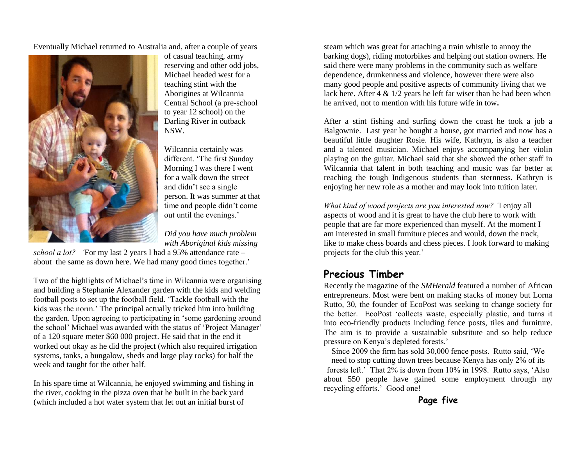Eventually Michael returned to Australia and, after a couple of years



of casual teaching, army reserving and other odd jobs, Michael headed west for a teaching stint with the Aborigines at Wilcannia Central School (a pre-school to year 12 school) on the Darling River in outback NSW.

Wilcannia certainly was different. 'The first Sunday Morning I was there I went for a walk down the street and didn't see a single person. It was summer at that time and people didn't come out until the evenings.'

#### *Did you have much problem with Aboriginal kids missing*

*school a lot? '*For my last 2 years I had a 95% attendance rate – about the same as down here. We had many good times together.'

Two of the highlights of Michael's time in Wilcannia were organising and building a Stephanie Alexander garden with the kids and welding football posts to set up the football field. 'Tackle football with the kids was the norm.' The principal actually tricked him into building the garden. Upon agreeing to participating in 'some gardening around the school' Michael was awarded with the status of 'Project Manager' of a 120 square meter \$60 000 project. He said that in the end it worked out okay as he did the project (which also required irrigation systems, tanks, a bungalow, sheds and large play rocks) for half the week and taught for the other half.

In his spare time at Wilcannia, he enjoyed swimming and fishing in the river, cooking in the pizza oven that he built in the back yard (which included a hot water system that let out an initial burst of

steam which was great for attaching a train whistle to annoy the barking dogs), riding motorbikes and helping out station owners. He said there were many problems in the community such as welfare dependence, drunkenness and violence, however there were also many good people and positive aspects of community living that we lack here. After  $4 \& 1/2$  years he left far wiser than he had been when he arrived, not to mention with his future wife in tow**.**

After a stint fishing and surfing down the coast he took a job a Balgownie. Last year he bought a house, got married and now has a beautiful little daughter Rosie. His wife, Kathryn, is also a teacher and a talented musician. Michael enjoys accompanying her violin playing on the guitar. Michael said that she showed the other staff in Wilcannia that talent in both teaching and music was far better at reaching the tough Indigenous students than sternness. Kathryn is enjoying her new role as a mother and may look into tuition later.

*What kind of wood projects are you interested now? '*I enjoy all aspects of wood and it is great to have the club here to work with people that are far more experienced than myself. At the moment I am interested in small furniture pieces and would, down the track, like to make chess boards and chess pieces. I look forward to making projects for the club this year.'

## **Precious Timber**

Recently the magazine of the *SMHerald* featured a number of African entrepreneurs. Most were bent on making stacks of money but Lorna Rutto, 30, the founder of EcoPost was seeking to change society for the better. EcoPost 'collects waste, especially plastic, and turns it into eco-friendly products including fence posts, tiles and furniture. The aim is to provide a sustainable substitute and so help reduce pressure on Kenya's depleted forests.'

Since 2009 the firm has sold 30,000 fence posts. Rutto said, 'We need to stop cutting down trees because Kenya has only 2% of its forests left.' That 2% is down from 10% in 1998. Rutto says, 'Also about 550 people have gained some employment through my recycling efforts.' Good one!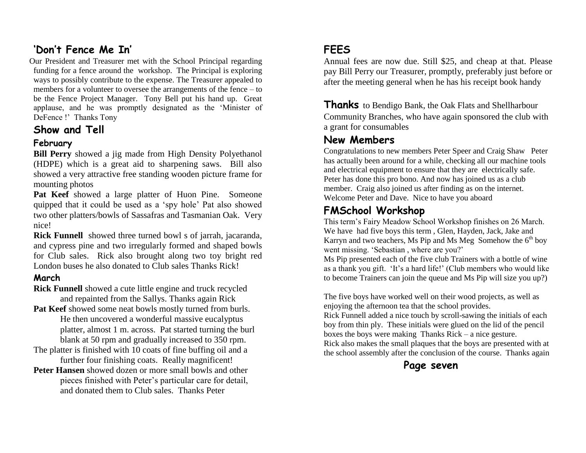## **'Don't Fence Me In'**

 Our President and Treasurer met with the School Principal regarding funding for a fence around the workshop. The Principal is exploring ways to possibly contribute to the expense. The Treasurer appealed to members for a volunteer to oversee the arrangements of the fence – to be the Fence Project Manager. Tony Bell put his hand up. Great applause, and he was promptly designated as the 'Minister of DeFence !' Thanks Tony

### **Show and Tell**

### **February**

**Bill Perry** showed a jig made from High Density Polyethanol (HDPE) which is a great aid to sharpening saws. Bill also showed a very attractive free standing wooden picture frame for mounting photos

**Pat Keef** showed a large platter of Huon Pine. Someone quipped that it could be used as a 'spy hole' Pat also showed two other platters/bowls of Sassafras and Tasmanian Oak. Very nice!

**Rick Funnell** showed three turned bowl s of jarrah, jacaranda, and cypress pine and two irregularly formed and shaped bowls for Club sales. Rick also brought along two toy bright red London buses he also donated to Club sales Thanks Rick!

### **March**

- **Rick Funnell** showed a cute little engine and truck recycled and repainted from the Sallys. Thanks again Rick
- Pat Keef showed some neat bowls mostly turned from burls. He then uncovered a wonderful massive eucalyptus platter, almost 1 m. across. Pat started turning the burl blank at 50 rpm and gradually increased to 350 rpm.
- The platter is finished with 10 coats of fine buffing oil and a further four finishing coats. Really magnificent!
- **Peter Hansen** showed dozen or more small bowls and other pieces finished with Peter's particular care for detail, and donated them to Club sales. Thanks Peter

## **FEES**

Annual fees are now due. Still \$25, and cheap at that. Please pay Bill Perry our Treasurer, promptly, preferably just before or after the meeting general when he has his receipt book handy

**Thanks** to Bendigo Bank, the Oak Flats and Shellharbour Community Branches, who have again sponsored the club with a grant for consumables

### **New Members**

Congratulations to new members Peter Speer and Craig Shaw Peter has actually been around for a while, checking all our machine tools and electrical equipment to ensure that they are electrically safe. Peter has done this pro bono. And now has joined us as a club member. Craig also joined us after finding as on the internet. Welcome Peter and Dave. Nice to have you aboard

## **FMSchool Workshop**

This term's Fairy Meadow School Workshop finishes on 26 March. We have had five boys this term , Glen, Hayden, Jack, Jake and Karryn and two teachers, Ms Pip and Ms Meg Somehow the  $6<sup>th</sup>$  boy went missing. 'Sebastian , where are you?'

Ms Pip presented each of the five club Trainers with a bottle of wine as a thank you gift. 'It's a hard life!' (Club members who would like to become Trainers can join the queue and Ms Pip will size you up?)

The five boys have worked well on their wood projects, as well as enjoying the afternoon tea that the school provides.

Rick Funnell added a nice touch by scroll-sawing the initials of each boy from thin ply. These initials were glued on the lid of the pencil boxes the boys were making Thanks Rick – a nice gesture.

Rick also makes the small plaques that the boys are presented with at the school assembly after the conclusion of the course. Thanks again